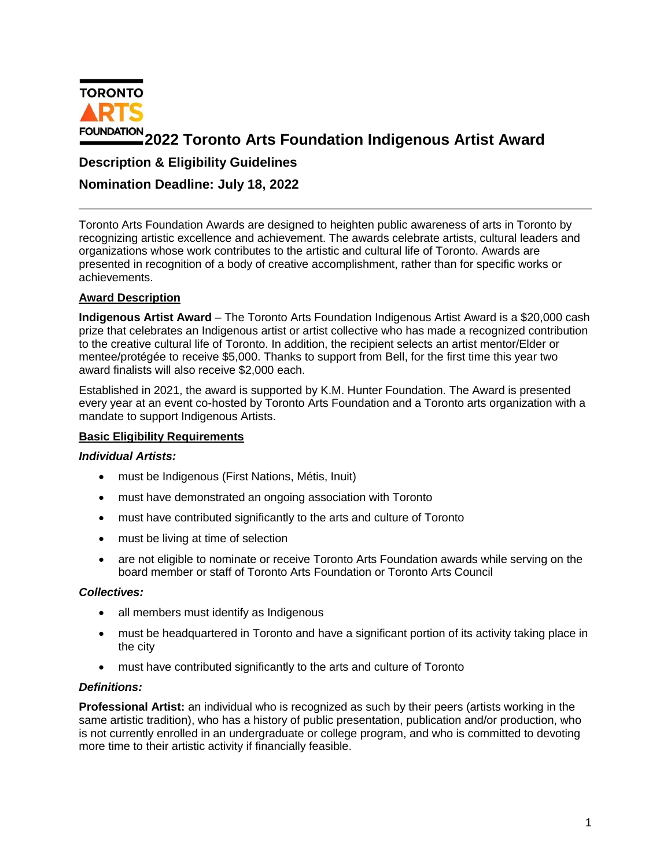

# **2022 Toronto Arts Foundation Indigenous Artist Award**

# **Description & Eligibility Guidelines**

## **Nomination Deadline: July 18, 2022**

Toronto Arts Foundation Awards are designed to heighten public awareness of arts in Toronto by recognizing artistic excellence and achievement. The awards celebrate artists, cultural leaders and organizations whose work contributes to the artistic and cultural life of Toronto. Awards are presented in recognition of a body of creative accomplishment, rather than for specific works or achievements.

## **Award Description**

**Indigenous Artist Award** – The Toronto Arts Foundation Indigenous Artist Award is a \$20,000 cash prize that celebrates an Indigenous artist or artist collective who has made a recognized contribution to the creative cultural life of Toronto. In addition, the recipient selects an artist mentor/Elder or mentee/protégée to receive \$5,000. Thanks to support from Bell, for the first time this year two award finalists will also receive \$2,000 each.

Established in 2021, the award is supported by K.M. Hunter Foundation. The Award is presented every year at an event co-hosted by Toronto Arts Foundation and a Toronto arts organization with a mandate to support Indigenous Artists.

## **Basic Eligibility Requirements**

## *Individual Artists:*

- must be Indigenous (First Nations, Métis, Inuit)
- must have demonstrated an ongoing association with Toronto
- must have contributed significantly to the arts and culture of Toronto
- must be living at time of selection
- are not eligible to nominate or receive Toronto Arts Foundation awards while serving on the board member or staff of Toronto Arts Foundation or Toronto Arts Council

## *Collectives:*

- all members must identify as Indigenous
- must be headquartered in Toronto and have a significant portion of its activity taking place in the city
- must have contributed significantly to the arts and culture of Toronto

#### *Definitions:*

**Professional Artist:** an individual who is recognized as such by their peers (artists working in the same artistic tradition), who has a history of public presentation, publication and/or production, who is not currently enrolled in an undergraduate or college program, and who is committed to devoting more time to their artistic activity if financially feasible.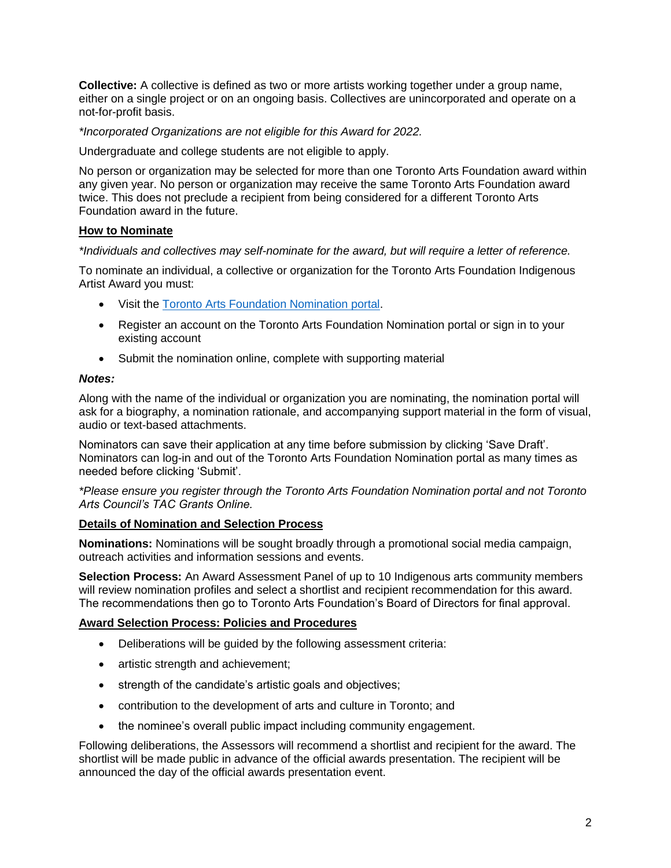**Collective:** A collective is defined as two or more artists working together under a group name, either on a single project or on an ongoing basis. Collectives are unincorporated and operate on a not-for-profit basis.

*\*Incorporated Organizations are not eligible for this Award for 2022.*

Undergraduate and college students are not eligible to apply.

No person or organization may be selected for more than one Toronto Arts Foundation award within any given year. No person or organization may receive the same Toronto Arts Foundation award twice. This does not preclude a recipient from being considered for a different Toronto Arts Foundation award in the future.

## **How to Nominate**

*\*Individuals and collectives may self-nominate for the award, but will require a letter of reference.*

To nominate an individual, a collective or organization for the Toronto Arts Foundation Indigenous Artist Award you must:

- Visit the [Toronto Arts Foundation Nomination portal.](https://tac.smartsimple.ca/welcome/taf/)
- Register an account on the Toronto Arts Foundation Nomination portal or sign in to your existing account
- Submit the nomination online, complete with supporting material

## *Notes:*

Along with the name of the individual or organization you are nominating, the nomination portal will ask for a biography, a nomination rationale, and accompanying support material in the form of visual, audio or text-based attachments.

Nominators can save their application at any time before submission by clicking 'Save Draft'. Nominators can log-in and out of the Toronto Arts Foundation Nomination portal as many times as needed before clicking 'Submit'.

*\*Please ensure you register through the Toronto Arts Foundation Nomination portal and not Toronto Arts Council's TAC Grants Online.*

## **Details of Nomination and Selection Process**

**Nominations:** Nominations will be sought broadly through a promotional social media campaign, outreach activities and information sessions and events.

**Selection Process:** An Award Assessment Panel of up to 10 Indigenous arts community members will review nomination profiles and select a shortlist and recipient recommendation for this award. The recommendations then go to Toronto Arts Foundation's Board of Directors for final approval.

## **Award Selection Process: Policies and Procedures**

- Deliberations will be guided by the following assessment criteria:
- artistic strength and achievement;
- strength of the candidate's artistic goals and objectives;
- contribution to the development of arts and culture in Toronto; and
- the nominee's overall public impact including community engagement.

Following deliberations, the Assessors will recommend a shortlist and recipient for the award. The shortlist will be made public in advance of the official awards presentation. The recipient will be announced the day of the official awards presentation event.